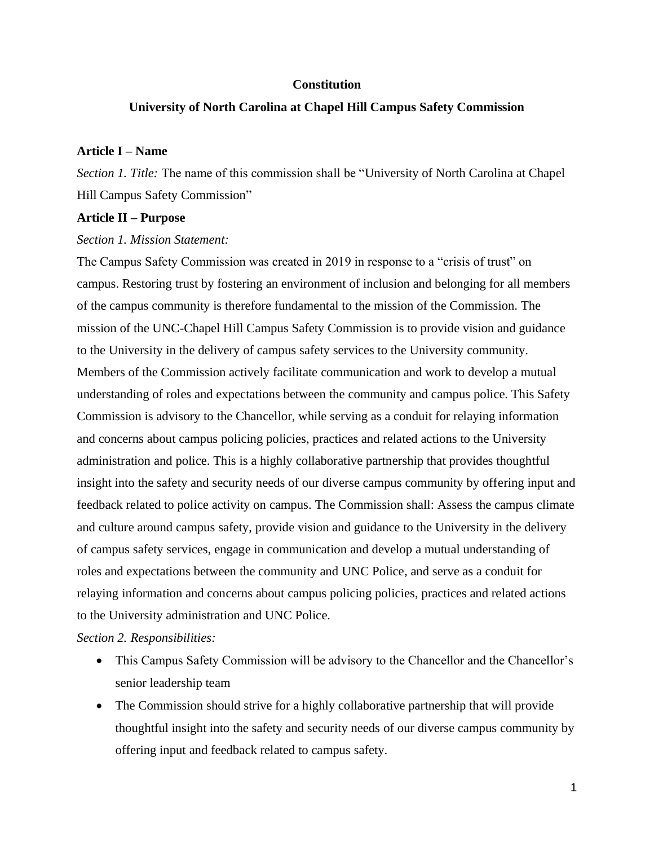#### **Constitution**

### **University of North Carolina at Chapel Hill Campus Safety Commission**

#### **Article I – Name**

*Section 1. Title:* The name of this commission shall be "University of North Carolina at Chapel Hill Campus Safety Commission"

## **Article II – Purpose**

#### *Section 1. Mission Statement:*

The Campus Safety Commission was created in 2019 in response to a "crisis of trust" on campus. Restoring trust by fostering an environment of inclusion and belonging for all members of the campus community is therefore fundamental to the mission of the Commission. The mission of the UNC-Chapel Hill Campus Safety Commission is to provide vision and guidance to the University in the delivery of campus safety services to the University community. Members of the Commission actively facilitate communication and work to develop a mutual understanding of roles and expectations between the community and campus police. This Safety Commission is advisory to the Chancellor, while serving as a conduit for relaying information and concerns about campus policing policies, practices and related actions to the University administration and police. This is a highly collaborative partnership that provides thoughtful insight into the safety and security needs of our diverse campus community by offering input and feedback related to police activity on campus. The Commission shall: Assess the campus climate and culture around campus safety, provide vision and guidance to the University in the delivery of campus safety services, engage in communication and develop a mutual understanding of roles and expectations between the community and UNC Police, and serve as a conduit for relaying information and concerns about campus policing policies, practices and related actions to the University administration and UNC Police.

*Section 2. Responsibilities:*

- This Campus Safety Commission will be advisory to the Chancellor and the Chancellor's senior leadership team
- The Commission should strive for a highly collaborative partnership that will provide thoughtful insight into the safety and security needs of our diverse campus community by offering input and feedback related to campus safety.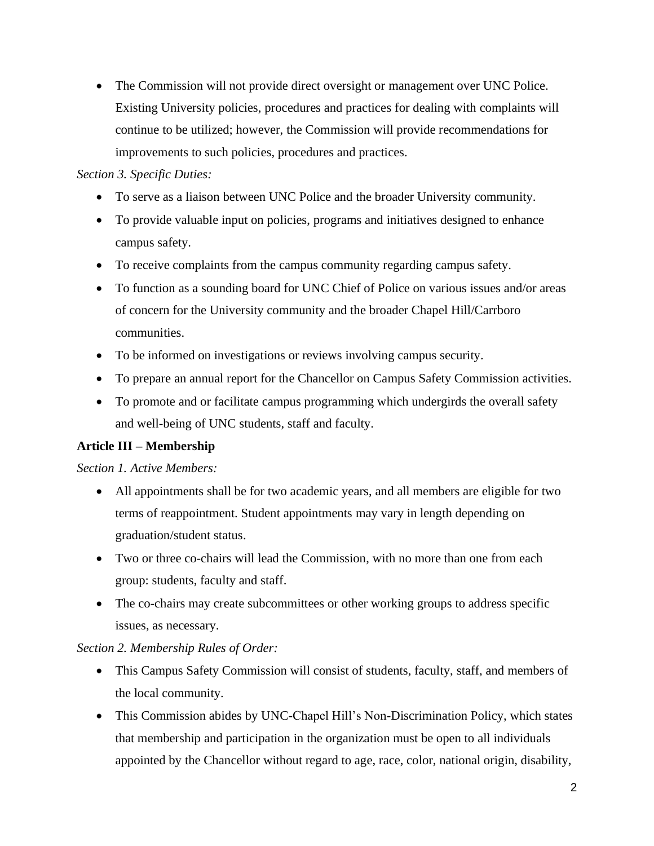• The Commission will not provide direct oversight or management over UNC Police. Existing University policies, procedures and practices for dealing with complaints will continue to be utilized; however, the Commission will provide recommendations for improvements to such policies, procedures and practices.

# *Section 3. Specific Duties:*

- To serve as a liaison between UNC Police and the broader University community.
- To provide valuable input on policies, programs and initiatives designed to enhance campus safety.
- To receive complaints from the campus community regarding campus safety.
- To function as a sounding board for UNC Chief of Police on various issues and/or areas of concern for the University community and the broader Chapel Hill/Carrboro communities.
- To be informed on investigations or reviews involving campus security.
- To prepare an annual report for the Chancellor on Campus Safety Commission activities.
- To promote and or facilitate campus programming which undergirds the overall safety and well-being of UNC students, staff and faculty.

# **Article III – Membership**

## *Section 1. Active Members:*

- All appointments shall be for two academic years, and all members are eligible for two terms of reappointment. Student appointments may vary in length depending on graduation/student status.
- Two or three co-chairs will lead the Commission, with no more than one from each group: students, faculty and staff.
- The co-chairs may create subcommittees or other working groups to address specific issues, as necessary.

## *Section 2. Membership Rules of Order:*

- This Campus Safety Commission will consist of students, faculty, staff, and members of the local community.
- This Commission abides by UNC-Chapel Hill's Non-Discrimination Policy, which states that membership and participation in the organization must be open to all individuals appointed by the Chancellor without regard to age, race, color, national origin, disability,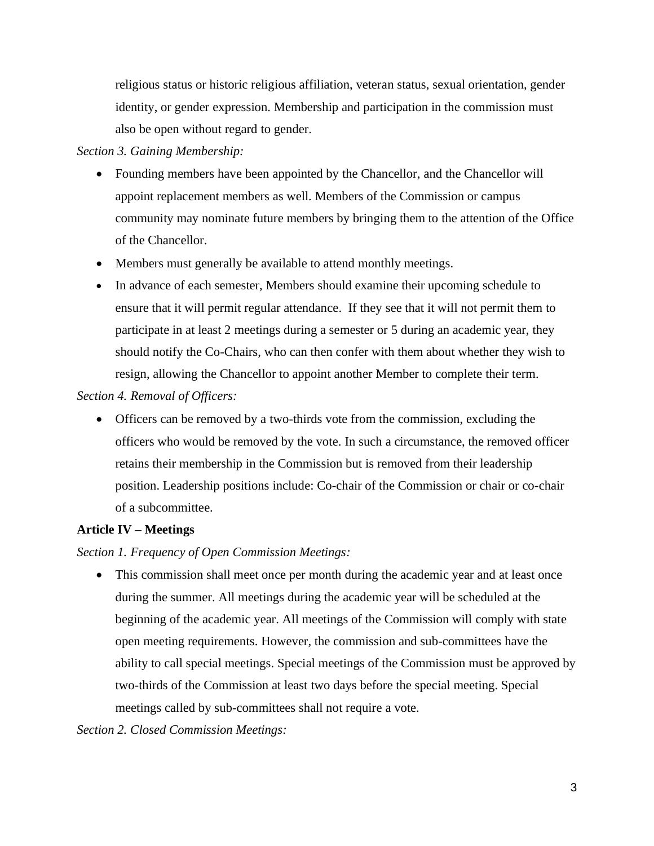religious status or historic religious affiliation, veteran status, sexual orientation, gender identity, or gender expression. Membership and participation in the commission must also be open without regard to gender.

## *Section 3. Gaining Membership:*

- Founding members have been appointed by the Chancellor, and the Chancellor will appoint replacement members as well. Members of the Commission or campus community may nominate future members by bringing them to the attention of the Office of the Chancellor.
- Members must generally be available to attend monthly meetings.
- In advance of each semester, Members should examine their upcoming schedule to ensure that it will permit regular attendance. If they see that it will not permit them to participate in at least 2 meetings during a semester or 5 during an academic year, they should notify the Co-Chairs, who can then confer with them about whether they wish to resign, allowing the Chancellor to appoint another Member to complete their term.

## *Section 4. Removal of Officers:*

• Officers can be removed by a two-thirds vote from the commission, excluding the officers who would be removed by the vote. In such a circumstance, the removed officer retains their membership in the Commission but is removed from their leadership position. Leadership positions include: Co-chair of the Commission or chair or co-chair of a subcommittee.

## **Article IV – Meetings**

*Section 1. Frequency of Open Commission Meetings:*

• This commission shall meet once per month during the academic year and at least once during the summer. All meetings during the academic year will be scheduled at the beginning of the academic year. All meetings of the Commission will comply with state open meeting requirements. However, the commission and sub-committees have the ability to call special meetings. Special meetings of the Commission must be approved by two-thirds of the Commission at least two days before the special meeting. Special meetings called by sub-committees shall not require a vote.

## *Section 2. Closed Commission Meetings:*